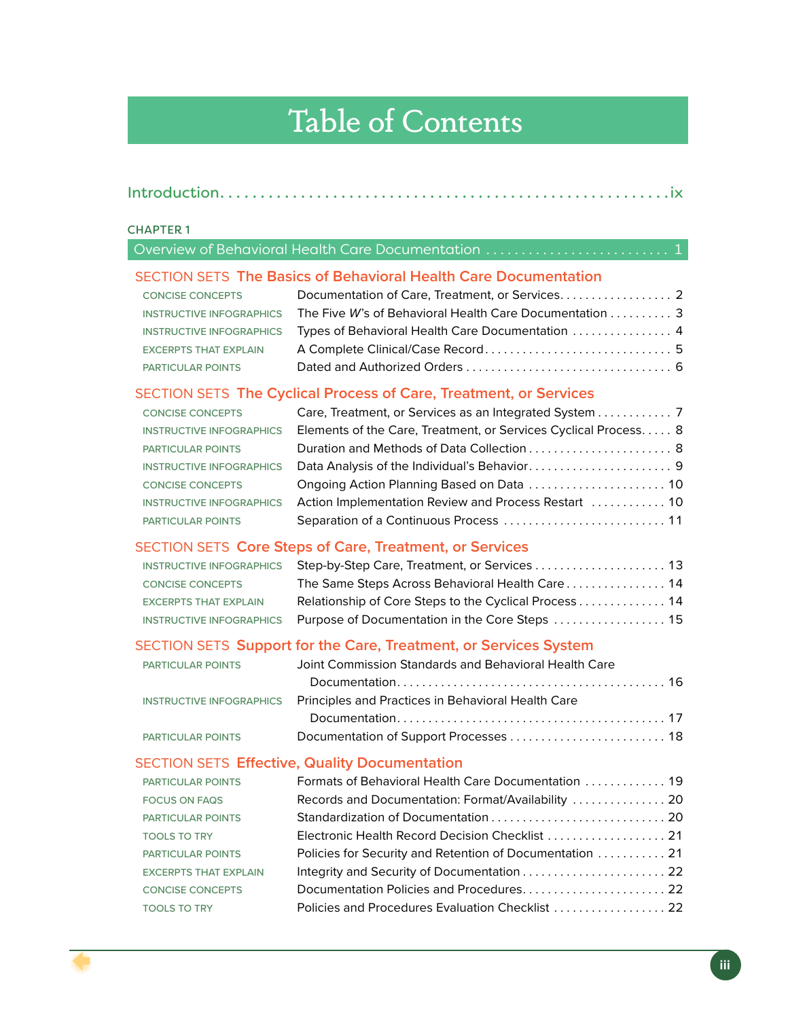# Table of Contents

|--|--|

#### CHAPTER 1

| Overview of Behavioral Health Care Documentation  1 |  |
|-----------------------------------------------------|--|
|-----------------------------------------------------|--|

## SECTION SETS **The Basics of Behavioral Health Care Documentation**

| <b>CONCISE CONCEPTS</b>      |                                                                                                      |  |
|------------------------------|------------------------------------------------------------------------------------------------------|--|
|                              | INSTRUCTIVE INFOGRAPHICS The Five W's of Behavioral Health Care Documentation $\ldots \ldots \ldots$ |  |
|                              | INSTRUCTIVE INFOGRAPHICS Types of Behavioral Health Care Documentation  4                            |  |
| <b>EXCERPTS THAT EXPLAIN</b> |                                                                                                      |  |
| <b>PARTICULAR POINTS</b>     |                                                                                                      |  |

## SECTION SETS **The Cyclical Process of Care, Treatment, or Services**

| <b>CONCISE CONCEPTS</b>         | Care, Treatment, or Services as an Integrated System 7          |
|---------------------------------|-----------------------------------------------------------------|
| <b>INSTRUCTIVE INFOGRAPHICS</b> | Elements of the Care, Treatment, or Services Cyclical Process 8 |
| <b>PARTICULAR POINTS</b>        | Duration and Methods of Data Collection  8                      |
| <b>INSTRUCTIVE INFOGRAPHICS</b> |                                                                 |
| <b>CONCISE CONCEPTS</b>         |                                                                 |
| <b>INSTRUCTIVE INFOGRAPHICS</b> |                                                                 |
| <b>PARTICULAR POINTS</b>        |                                                                 |

## SECTION SETS **Core Steps of Care, Treatment, or Services**

|                              | INSTRUCTIVE INFOGRAPHICS Step-by-Step Care, Treatment, or Services  13  |  |
|------------------------------|-------------------------------------------------------------------------|--|
| <b>CONCISE CONCEPTS</b>      | The Same Steps Across Behavioral Health Care 14                         |  |
| <b>EXCERPTS THAT EXPLAIN</b> | Relationship of Core Steps to the Cyclical Process  14                  |  |
|                              | INSTRUCTIVE INFOGRAPHICS Purpose of Documentation in the Core Steps  15 |  |

## SECTION SETS **Support for the Care, Treatment, or Services System**

| <b>PARTICULAR POINTS</b> | Joint Commission Standards and Behavioral Health Care                              |  |
|--------------------------|------------------------------------------------------------------------------------|--|
|                          |                                                                                    |  |
|                          | <b>INSTRUCTIVE INFOGRAPHICS</b> Principles and Practices in Behavioral Health Care |  |
|                          |                                                                                    |  |
| PARTICULAR POINTS        |                                                                                    |  |

#### SECTION SETS **Effective, Quality Documentation**

| <b>PARTICULAR POINTS</b>     | Formats of Behavioral Health Care Documentation  19      |
|------------------------------|----------------------------------------------------------|
| <b>FOCUS ON FAQS</b>         | Records and Documentation: Format/Availability  20       |
| <b>PARTICULAR POINTS</b>     |                                                          |
| <b>TOOLS TO TRY</b>          | Electronic Health Record Decision Checklist  21          |
| <b>PARTICULAR POINTS</b>     | Policies for Security and Retention of Documentation  21 |
| <b>EXCERPTS THAT EXPLAIN</b> |                                                          |
| <b>CONCISE CONCEPTS</b>      |                                                          |
| <b>TOOLS TO TRY</b>          | Policies and Procedures Evaluation Checklist  22         |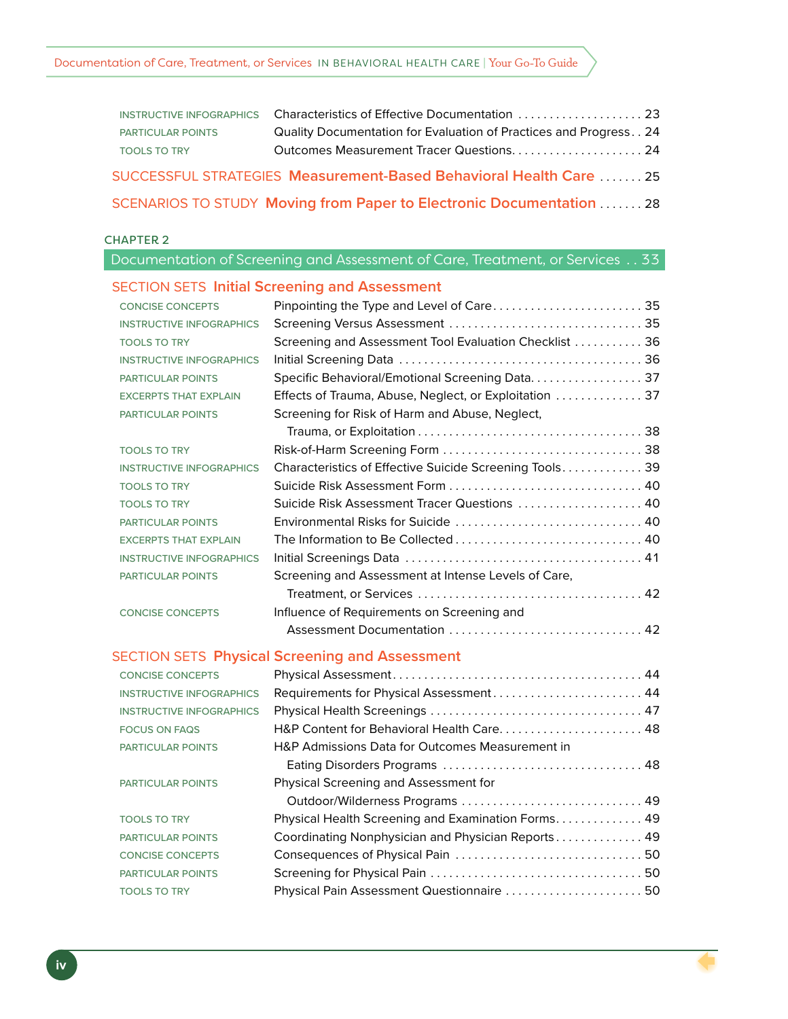#### Documentation of Care, Treatment, or Services IN BEHAVIORAL HEALTH CARE | Your Go-To Guide

| <b>PARTICULAR POINTS</b> | Quality Documentation for Evaluation of Practices and Progress 24    |
|--------------------------|----------------------------------------------------------------------|
| <b>TOOLS TO TRY</b>      |                                                                      |
|                          | SUCCESSFUL STRATEGIES Measurement-Based Behavioral Health Care  25   |
|                          | SCENARIOS TO STUDY Moving from Paper to Electronic Documentation  28 |

#### CHAPTER 2

|                                 | Documentation of Screening and Assessment of Care, Treatment, or Services 33 |
|---------------------------------|------------------------------------------------------------------------------|
|                                 | <b>SECTION SETS Initial Screening and Assessment</b>                         |
| <b>CONCISE CONCEPTS</b>         | Pinpointing the Type and Level of Care 35                                    |
| <b>INSTRUCTIVE INFOGRAPHICS</b> |                                                                              |
| <b>TOOLS TO TRY</b>             | Screening and Assessment Tool Evaluation Checklist  36                       |
| <b>INSTRUCTIVE INFOGRAPHICS</b> |                                                                              |
| <b>PARTICULAR POINTS</b>        | Specific Behavioral/Emotional Screening Data. 37                             |
| <b>EXCERPTS THAT EXPLAIN</b>    | Effects of Trauma, Abuse, Neglect, or Exploitation  37                       |
| <b>PARTICULAR POINTS</b>        | Screening for Risk of Harm and Abuse, Neglect,                               |
|                                 |                                                                              |
| <b>TOOLS TO TRY</b>             |                                                                              |
| <b>INSTRUCTIVE INFOGRAPHICS</b> | Characteristics of Effective Suicide Screening Tools 39                      |
| <b>TOOLS TO TRY</b>             |                                                                              |
| <b>TOOLS TO TRY</b>             | Suicide Risk Assessment Tracer Questions  40                                 |
| <b>PARTICULAR POINTS</b>        | Environmental Risks for Suicide  40                                          |
| <b>EXCERPTS THAT EXPLAIN</b>    | The Information to Be Collected  40                                          |
| <b>INSTRUCTIVE INFOGRAPHICS</b> |                                                                              |
| PARTICULAR POINTS               | Screening and Assessment at Intense Levels of Care,                          |
|                                 |                                                                              |
| <b>CONCISE CONCEPTS</b>         | Influence of Requirements on Screening and                                   |
|                                 | Assessment Documentation  42                                                 |
|                                 | <b>SECTION SETS Physical Screening and Assessment</b>                        |
| <b>CONCISE CONCEPTS</b>         |                                                                              |
| <b>INSTRUCTIVE INFOGRAPHICS</b> | Requirements for Physical Assessment 44                                      |
| <b>INSTRUCTIVE INFOGRAPHICS</b> |                                                                              |
| <b>FOCUS ON FAQS</b>            |                                                                              |
| <b>PARTICULAR POINTS</b>        | H&P Admissions Data for Outcomes Measurement in                              |
|                                 |                                                                              |
| <b>PARTICULAR POINTS</b>        | Physical Screening and Assessment for                                        |
|                                 | Outdoor/Wilderness Programs  49                                              |
| <b>TOOLS TO TRY</b>             | Physical Health Screening and Examination Forms. 49                          |
| <b>PARTICULAR POINTS</b>        | Coordinating Nonphysician and Physician Reports 49                           |
| <b>CONCISE CONCEPTS</b>         |                                                                              |
| <b>PARTICULAR POINTS</b>        |                                                                              |
| <b>TOOLS TO TRY</b>             | Physical Pain Assessment Questionnaire  50                                   |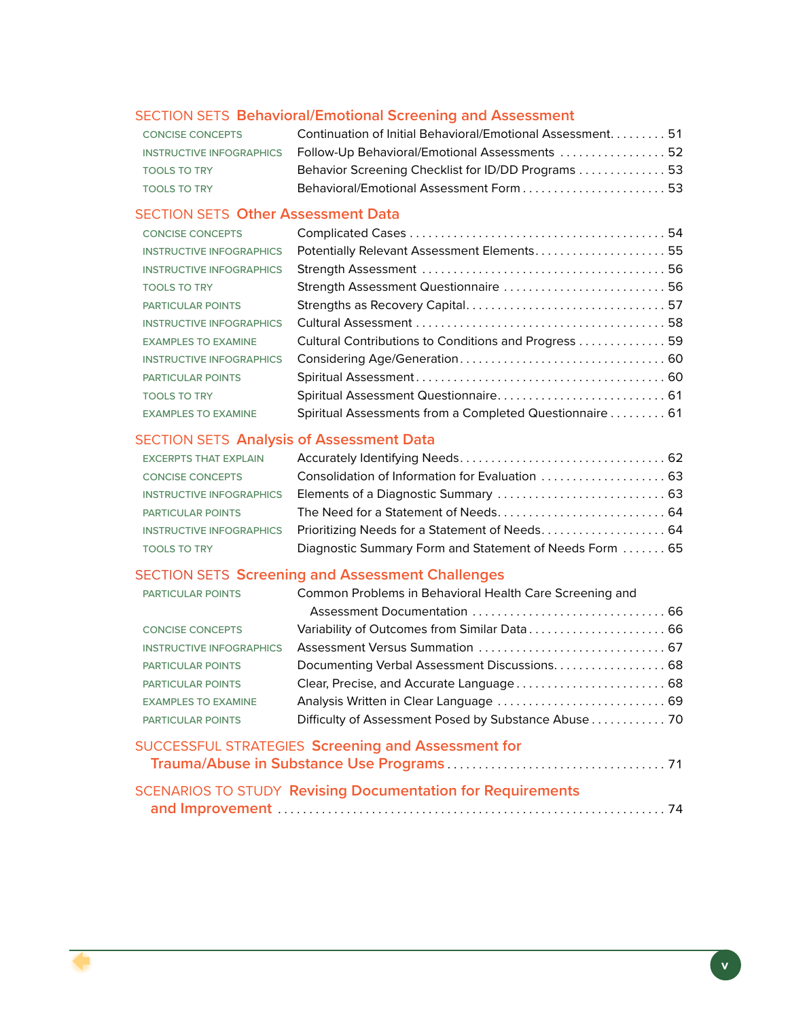## SECTION SETS **Behavioral/Emotional Screening and Assessment**

| <b>CONCISE CONCEPTS</b>         | Continuation of Initial Behavioral/Emotional Assessment 51 |  |
|---------------------------------|------------------------------------------------------------|--|
| <b>INSTRUCTIVE INFOGRAPHICS</b> | Follow-Up Behavioral/Emotional Assessments  52             |  |
| <b>TOOLS TO TRY</b>             | Behavior Screening Checklist for ID/DD Programs  53        |  |
| <b>TOOLS TO TRY</b>             | Behavioral/Emotional Assessment Form53                     |  |

## SECTION SETS **Other Assessment Data**

| <b>CONCISE CONCEPTS</b>         |                                                         |
|---------------------------------|---------------------------------------------------------|
| <b>INSTRUCTIVE INFOGRAPHICS</b> | Potentially Relevant Assessment Elements 55             |
| <b>INSTRUCTIVE INFOGRAPHICS</b> |                                                         |
| <b>TOOLS TO TRY</b>             | Strength Assessment Questionnaire  56                   |
| PARTICULAR POINTS               |                                                         |
| <b>INSTRUCTIVE INFOGRAPHICS</b> |                                                         |
| <b>EXAMPLES TO EXAMINE</b>      | Cultural Contributions to Conditions and Progress 59    |
| <b>INSTRUCTIVE INFOGRAPHICS</b> |                                                         |
| <b>PARTICULAR POINTS</b>        |                                                         |
| <b>TOOLS TO TRY</b>             |                                                         |
| <b>EXAMPLES TO EXAMINE</b>      | Spiritual Assessments from a Completed Questionnaire 61 |

## SECTION SETS **Analysis of Assessment Data**

| <b>EXCERPTS THAT EXPLAIN</b>    |                                                         |  |
|---------------------------------|---------------------------------------------------------|--|
| <b>CONCISE CONCEPTS</b>         |                                                         |  |
| <b>INSTRUCTIVE INFOGRAPHICS</b> |                                                         |  |
| <b>PARTICULAR POINTS</b>        |                                                         |  |
| <b>INSTRUCTIVE INFOGRAPHICS</b> |                                                         |  |
| <b>TOOLS TO TRY</b>             | Diagnostic Summary Form and Statement of Needs Form  65 |  |

## SECTION SETS **Screening and Assessment Challenges**

| PARTICULAR POINTS               | Common Problems in Behavioral Health Care Screening and |
|---------------------------------|---------------------------------------------------------|
|                                 |                                                         |
| <b>CONCISE CONCEPTS</b>         |                                                         |
| <b>INSTRUCTIVE INFOGRAPHICS</b> |                                                         |
| <b>PARTICULAR POINTS</b>        |                                                         |
| <b>PARTICULAR POINTS</b>        |                                                         |
| <b>EXAMPLES TO EXAMINE</b>      |                                                         |
| <b>PARTICULAR POINTS</b>        | Difficulty of Assessment Posed by Substance Abuse 70    |
|                                 |                                                         |

| SUCCESSFUL STRATEGIES Screening and Assessment for                |  |
|-------------------------------------------------------------------|--|
|                                                                   |  |
| <b>SCENARIOS TO STUDY Revising Documentation for Requirements</b> |  |
|                                                                   |  |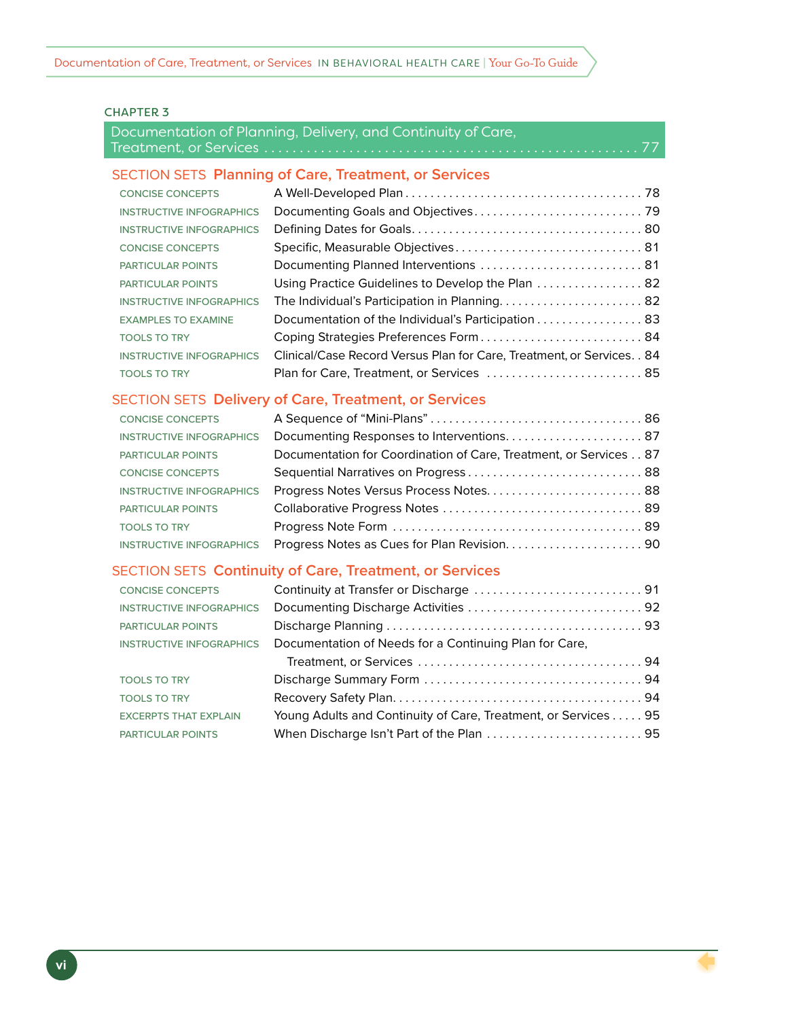#### CHAPTER 3

## Documentation of Planning, Delivery, and Continuity of Care, Treatment, or Services . . . . . . . . . . . . . . . . . . . . . . . . . . . . . . . . . . . . . . . . . . . . . . . . . . . . . 77

#### SECTION SETS **Planning of Care, Treatment, or Services**

| <b>CONCISE CONCEPTS</b>         |                                                                         |
|---------------------------------|-------------------------------------------------------------------------|
| <b>INSTRUCTIVE INFOGRAPHICS</b> |                                                                         |
| <b>INSTRUCTIVE INFOGRAPHICS</b> |                                                                         |
| <b>CONCISE CONCEPTS</b>         |                                                                         |
| <b>PARTICULAR POINTS</b>        | Documenting Planned Interventions  81                                   |
| <b>PARTICULAR POINTS</b>        | Using Practice Guidelines to Develop the Plan  82                       |
| <b>INSTRUCTIVE INFOGRAPHICS</b> |                                                                         |
| <b>EXAMPLES TO EXAMINE</b>      | Documentation of the Individual's Participation 83                      |
| <b>TOOLS TO TRY</b>             | Coping Strategies Preferences Form 84                                   |
| <b>INSTRUCTIVE INFOGRAPHICS</b> | Clinical/Case Record Versus Plan for Care, Treatment, or Services. . 84 |
| <b>TOOLS TO TRY</b>             | Plan for Care, Treatment, or Services  85                               |

## SECTION SETS **Delivery of Care, Treatment, or Services**

| <b>CONCISE CONCEPTS</b>         |                                                                   |
|---------------------------------|-------------------------------------------------------------------|
| <b>INSTRUCTIVE INFOGRAPHICS</b> |                                                                   |
| <b>PARTICULAR POINTS</b>        | Documentation for Coordination of Care, Treatment, or Services 87 |
| <b>CONCISE CONCEPTS</b>         | Sequential Narratives on Progress 88                              |
| <b>INSTRUCTIVE INFOGRAPHICS</b> | Progress Notes Versus Process Notes 88                            |
| <b>PARTICULAR POINTS</b>        |                                                                   |
| <b>TOOLS TO TRY</b>             |                                                                   |
| <b>INSTRUCTIVE INFOGRAPHICS</b> |                                                                   |

#### SECTION SETS **Continuity of Care, Treatment, or Services**

| <b>CONCISE CONCEPTS</b>         |                                                                |  |
|---------------------------------|----------------------------------------------------------------|--|
| <b>INSTRUCTIVE INFOGRAPHICS</b> |                                                                |  |
| <b>PARTICULAR POINTS</b>        |                                                                |  |
| <b>INSTRUCTIVE INFOGRAPHICS</b> | Documentation of Needs for a Continuing Plan for Care,         |  |
|                                 |                                                                |  |
| <b>TOOLS TO TRY</b>             |                                                                |  |
| <b>TOOLS TO TRY</b>             |                                                                |  |
| <b>EXCERPTS THAT EXPLAIN</b>    | Young Adults and Continuity of Care, Treatment, or Services 95 |  |
| <b>PARTICULAR POINTS</b>        |                                                                |  |
|                                 |                                                                |  |